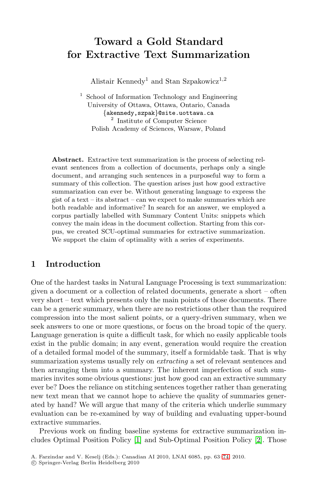# **Toward a Gold Standard for Extractive Text Summarization**

Alistair Kennedy<sup>1</sup> and Stan Szpakowicz<sup>1,2</sup>

School of Information Technology and Engineering University of Ottawa, Ottawa, Ontario, Canada {akennedy,szpak}@site.uottawa.ca <sup>2</sup> Institute of Computer Science Polish Academy of Sciences, Warsaw, Poland

**Abstract.** Extractive text summarization is the process of selecting relevant sentences from a collection of documents, perhaps only a single document, and arranging such sentences in a purposeful way to form a summary of this collection. The question arises just how good extractive summarization can ever be. Without generating language to express the gist of a text – its abstract – can we expect to make summaries which are both readable and informative? In search for an answer, we employed a corpus partially labelled with Summary Content Units: snippets which convey the main ideas in the document collection. Starting from this corpus, we created SCU-optimal summaries for extractive summarization. We support the claim of optimality with a series of experiments.

## **1 Introduction**

One of the hardest tasks in Natural Language Processing is text summarization: given a document or a collection of related documents, generate a short – often very short – text which presents only the main points of those documents. There can be a generic summary, when there are no restrictions other than the required compression into the most salient points, or a query-driven summary, when we seek answers to one or more questions, or focus on the broad topic of the query. Language generation is quite a difficult task, for which no easily applicable tools exist in the public domain; in any event, generation would require the creation of a detailed formal model of the summary, itself a formidable task. That is why summarization systems usually rely on *extracting* a set of relevant sentences and then arrangi[ng](#page-10-0) them into a summary. The inhere[nt](#page-10-1) imperfection of such summaries invites some obvious questions: just how good can an extractive summary ever be? Does the reliance on stitching se[nte](#page-10-2)nces together rather than generating new text mean that we cannot hope to achieve the quality of summaries generated by hand? We will argue that many of the criteria which underlie summary evaluation can be re-examined by way of building and evaluating upper-bound extractive summaries.

Previous work on finding baseline systems for extractive summarization includes Optimal Position Policy [1] and Sub-Optimal Position Policy [2]. Those

A. Farzindar and V. Keselj (Eds.): Canadian AI 2010, LNAI 6085, pp. 63–74, 2010.

<sup>-</sup>c Springer-Verlag Berlin Heidelberg 2010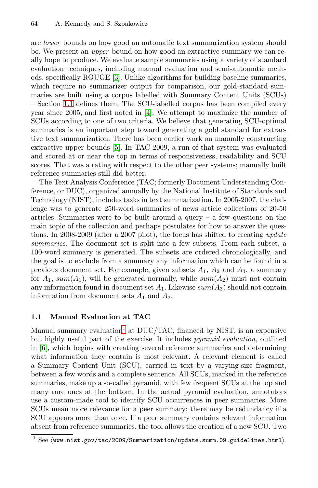are *lower* bound[s o](#page-11-0)n how good an automatic text summarization system should be. We present an *upper* bound on how good an extractive summary we can really hope to produce. We evaluate sample summaries using a variety of standard evaluation techniques, including manual evaluation and semi-automatic methods, s[pec](#page-11-1)ifically ROUGE [3]. Unlike algorithms for building baseline summaries, which require no summarizer output for comparison, our gold-standard summaries are built using a corpus labelled with Summary Content Units (SCUs) – Section 1.1 defines them. The SCU-labelled corpus has been compiled every year since 2005, and first noted in [4]. We attempt to maximize the number of SCUs according to one of two criteria. We believe that generating SCU-optimal summaries is an important step toward generating a gold standard for extractive text summarization. There has been earlier work on manually constructing extractive upper bounds [5]. In TAC 2009, a run of that system was evaluated and scored at or near the top in terms of responsiveness, readability and SCU scores. That was a rating with respect to the other peer systems; manually built reference summaries still did better.

The Text Analysis Conference (TAC; formerly Document Understanding Conference, or DUC), organized annually by the National Institute of Standards and Technology (NIST), includes tasks in text summarization. In 2005-2007, the challenge was to generate 250-word summaries of news article collections of 20-50 articles. Summaries were to be built around a query  $-$  a few questions on the main topic of the collection and perhaps postulates for how to answer the questions. In 2008-2009 (after a 2007 pilot), the focus has shifted to creating *update summaries*. The document set is split into a few subsets. From each subset, a 100-word summary is generated. The subsets are ordered chronologically, and the goal i[s](#page-1-0) to exclude from a summary any information which can be found in a previous document set. For example, given subsets  $A_1$ ,  $A_2$  and  $A_3$ , a summary for  $A_1$ , sum $(A_1)$ , will be generated normally, while sum $(A_2)$  must not contain any information found in document set  $A_1$ . Likewise  $sum(A_3)$  should not contain information from document sets  $A_1$  and  $A_2$ .

### **1.1 Manual Evaluation at TAC**

<span id="page-1-0"></span>Manual summary evaluation<sup>1</sup> at DUC/TAC, financed by NIST, is an expensive but highly useful part of the exercise. It includes *pyramid evaluation*, outlined in [6], which begins with creating several reference summaries and determining what information they contain is most relevant. A relevant element is called a Summary Content Unit (SCU), carried in text by a varying-size fragment, between a few words and a complete sentence. All SCUs, marked in the reference summaries, make up a so-called pyramid, with few frequent SCUs at the top and many rare ones at the bottom. In the actual pyramid evaluation, annotators use a custom-made tool to identify SCU occurrences in peer summaries. More SCUs mean more relevance for a peer summary; there may be redundancy if a SCU appears more than once. If a peer summary contains relevant information absent from reference summaries, the tool allows the creation of a new SCU. Two

 $^1$  See  $\langle$ www.nist.gov/tac/2009/Summarization/update.summ.09.guidelines.html $\rangle$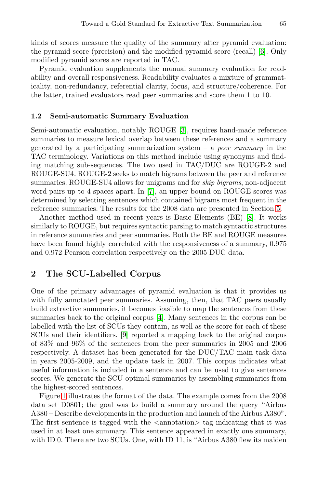kinds of scores measure the quality of the summary after pyramid evaluation: the pyramid score (precision) and the modified pyramid score (recall) [6]. Only modified pyramid scores ar[e r](#page-10-3)eported in TAC.

Pyramid evaluation supplements the manual summary evaluation for readability and overall responsiveness. Readability evaluates a mixture of grammaticality, non-redundancy, referential clarity, focus, and structure/coherence. For the latter, trained evaluators read peer summaries and score them 1 to 10.

### **1.2 Semi-automatic Summary Evaluation**

Semi-automatic evaluation, notably ROUGE [3], requires hand-made reference summaries to measure lexical overlap between these refe[ren](#page-8-0)ces and a summary generated by a participating summarization sy[ste](#page-11-2)m – a *peer summary* in the TAC terminology. Variations on this method include using synonyms and finding matching sub-sequences. The two used in TAC/DUC are ROUGE-2 and ROUGE-SU4. ROUGE-2 seeks to match bigrams between the peer and reference summaries. ROUGE-SU4 allows for unigrams and for *skip bigrams*, non-adjacent word pairs up to 4 spaces apart. In [7], an upper bound on ROUGE scores was determined by selecting sentences which contained bigrams most frequent in the reference summaries. The results for the 2008 data are presented in Section 5.

Another method used in recent years is Basic Elements (BE) [8]. It works similarly to ROUGE, but requires syntactic parsing to match syntactic structures in reference summaries and peer summaries. Both the BE and ROUGE measures have been found highly correlated with the responsiveness of a summary, 0.975 and 0.972 Pearson c[or](#page-11-0)relation respectively on the 2005 DUC data.

## **2 The SCU-Labelled Corpus**

One of the primary advantages of pyramid evaluation is that it provides us with fully annotated peer summaries. Assuming, then, that TAC peers usually build extractive summaries, it becomes feasible to map the sentences from these summaries back to the original corpus [4]. Many sentences in the corpus can be labelled with the list of SCUs they contain, as well as the score for each of these SCUs and their identifiers. [9] reported a mapping back to the original corpus of 83% and 96% of the sentences from the peer summaries in 2005 and 2006 respectively. A dataset has been generated for the DUC/TAC main task data in years 2005-2009, and the update task in 2007. This corpus indicates what useful information is included in a sentence and can be used to give sentences scores. We generate the SCU-optimal summaries by assembling summaries from the highest-scored sentences.

Figure 1 illustrates the format of the data. The example comes from the 2008 data set D0801; the goal was to build a summary around the query "Airbus A380 – Describe developments in the production and launch of the Airbus A380". The first sentence is tagged with the  $\langle$ annotation $\rangle$  tag indicating that it was used in at least one summary. This sentence appeared in exactly one summary, with ID 0. There are two SCUs. One, with ID 11, is "Airbus A380 flew its maiden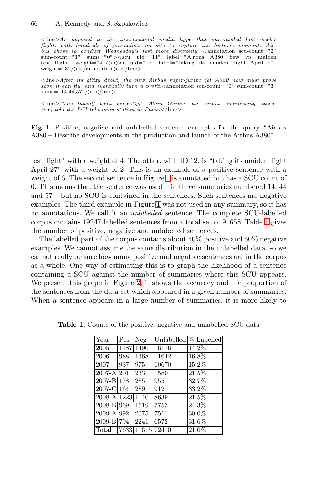*<*line*>*As opposed to the international media hype that surrounded last week's flight, with hundreds of journalists on site to capture the historic moment, Air-<br>bus chose to conduct Wednesday's test more discreetly.  $\langle$  annotation scu-count="2"<br>sum-count="1" sums="0"> $\langle$ scu uid="11" label="Airbus test flight" weight="4"/*>*<scu uid="12" label="taking its maiden flight April 27" weight="3"/></annotation> </line> weight="3"/*><*/annotation*> <*/line*>*

<span id="page-3-0"></span>*<*line*>*After its glitzy debut, the new Airbus super-jumbo jet A380 now must prove soon it can fly, and eventually turn a profit.<annotation scu-count="0" sum-count="3" sums="14,44,57"/*>* </line*>* 

*<*line*>*"The takeoff went perfectly," Alain Garcia, an Airbus engineering executive, told the LCI televi[sio](#page-3-0)n station in Paris.*<*/line*>*

**Fig. 1.** Positive, negative and unlabelled sentence examples for the query "Airbus A380 – Describe dev[elo](#page-3-0)pments in the production and launch of the Airbus A380"

test flight" with a weight of 4. The other, with ID 12, is "taking its maiden flight April 27" with a weight of 2. This is an example of a positive sentence with a weight of 6. The second sentence in Figure 1 is annotated but has a SCU count of 0. This means that the sentence was used – in three summaries numbered 14, 44 and 57 – but no SCU is contained in the sentences. Such sentences are negative examples. The third example in Figure 1 was not used in any summary, so it has no annotatio[ns.](#page-4-0) We call it an *unlabelled* sentence. The complete SCU-labelled corpus contains 19247 labelled sentences from a total set of 91658; Table 1 gives the number of positive, negative and unlabelled sentences.

The labelled part of the corpus contains about 40% positive and 60% negative examples. We cannot assume the same distribution in the unlabelled data, so we cannot really be sure how many positive and negative sentences are in the corpus as a whole. One way of estimating this is to graph the likelihood of a sentence containing a SCU against the number of summaries where this SCU appears. We present this graph in Figure 2; it shows the accuracy and the proportion of the sentences from the data set which appeared in a given number of summaries. When a sentence appears in a large number of summaries, it is more likely to

| Year             | Pos | Neg              |       | Unlabelled % Labelled |
|------------------|-----|------------------|-------|-----------------------|
| 2005             |     | 1187 1490        | 16176 | 14.2%                 |
| 2006             | 988 | 1368             | 11642 | 16.8%                 |
| 2007             | 937 | 975              | 10670 | 15.2%                 |
| 2007-A 201       |     | 233              | 1580  | 21.5%                 |
| 2007-B 178       |     | 285              | 955   | 32.7%                 |
| 2007-C 164       |     | 289              | 912   | 33.2%                 |
| 2008-A 1223 1140 |     |                  | 8639  | 21.5%                 |
| 2008-B 969       |     | 1519             | 7753  | 24.3%                 |
| 2009-A 992       |     | 2075             | 7511  | $30.0\%$              |
| 2009-B 794       |     | 2241             | 6572  | 31.6%                 |
| Total            |     | 7633 11615 72410 |       | 21.0%                 |

Table 1. Counts of the positive, negative and unlabelled SCU data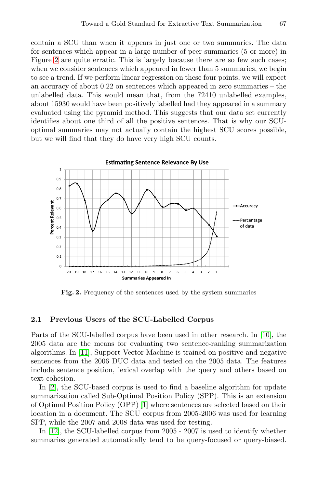contain a SCU than when it appears in just one or two summaries. The data for sentences which appear in a large number of peer summaries (5 or more) in Figure 2 are quite erratic. This is largely because there are so few such cases; when we consider sentences which appeared in fewer than 5 summaries, we begin to see a trend. If we perform linear regression on these four points, we will expect an accuracy of about 0.22 on sentences which appeared in zero summaries – the unlabelled data. This would mean that, from the 72410 unlabelled examples, about 15930 would have been positively labelled had they appeared in a summary evaluated using the pyramid method. This suggests that our data set currently identifies about one third of all the positive sentences. That is why our SCUoptimal summaries may not actually contain the highest SCU scores possible, but we will find that they do have very high SCU counts.



<span id="page-4-0"></span>**Fig. 2.** Frequency of the sentences used by the system summaries

#### **2.1 Previous Users of the SCU-Labelled Corpus**

Parts of the S[CU](#page-10-0)-labelled corpus have been used in other research. In [10], the 2005 data are the means for evaluating two sentence-ranking summarization algorithms. In [11], Support Vector Machine is trained on positive and negative sentences from the 2006 DUC data and tested on the 2005 data. The features include sentence position, lexical overlap with the query and others based on text cohesion.

In [2], the SCU-based corpus is used to find a baseline algorithm for update summarization called Sub-Optimal Position Policy (SPP). This is an extension of Optimal Position Policy (OPP) [1] where sentences are selected based on their location in a document. The SCU corpus from 2005-2006 was used for learning SPP, while the 2007 and 2008 data was used for testing.

In [12], the SCU-labelled corpus from 2005 - 2007 is used to identify whether summaries generated automatically tend to be query-focused or query-biased.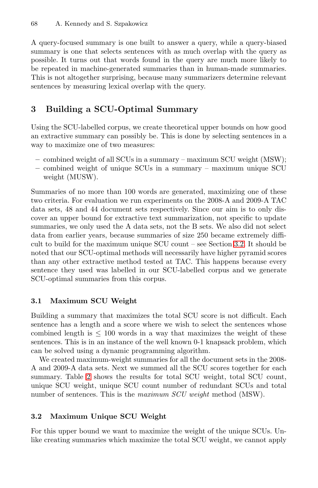A query-focused summary is one built to answer a query, while a query-biased summary is one that selects sentences with as much overlap with the query as possible. It turns out that words found in the query are much more likely to be repeated in machine-generated summaries than in human-made summaries. This is not altogether surprising, because many summarizers determine relevant sentences by measuring lexical overlap with the query.

## **3 Building a SCU-Optimal Summary**

Using the SCU-labelled corpus, we create theoretical upper bounds on how good an extractive summary can possibly be. This is done by selecting sentences in a way to maximize one of two measures:

- **–** combined weight of all SCUs in a summary maximum SCU weight (MSW);
- **–** combined weight of unique SCUs in a summary maximum unique SCU weight (MUSW).

Summaries of no more than 100 words are generated, maximizing one of these two criteria. For evaluation we run experiments on the 2008-A and 2009-A TAC data sets, 48 and 44 document sets respectively. Since our aim is to only discover an upper bound for extractive text summarization, not specific to update summaries, we only used the A data sets, not the B sets. We also did not select data from earlier years, because summaries of size 250 became extremely difficult to build for the maximum unique SCU count – see Section 3.2. It should be noted that our SCU-optimal methods will necessarily have higher pyramid scores than any other extractive method tested at TAC. This happens because every sentence they used was labelled in our SCU-labelled corpus and we generate SCU-optimal summaries from this corpus.

### **3.1 Maximum SCU Weight**

Building a summary that maximizes the total SCU score is not difficult. Each sentence has a length and a score where we wish to select the sentences whose combined length is  $\leq 100$  words in a way that maximizes the weight of these sentences. This is in an instance of the well known 0-1 knapsack problem, which can be solved using a dynamic programming algorithm.

We created maximum-weight summaries for all the document sets in the 2008- A and 2009-A data sets. Next we summed all the SCU scores together for each summary. Table 2 shows the results for total SCU weight, total SCU count, unique SCU weight, unique SCU count number of redundant SCUs and total number of sentences. This is the *maximum SCU weight* method (MSW).

## **3.2 Maximum Unique SCU Weight**

For this upper bound we want to maximize the weight of the unique SCUs. Unlike creating summaries which maximize the total SCU weight, we cannot apply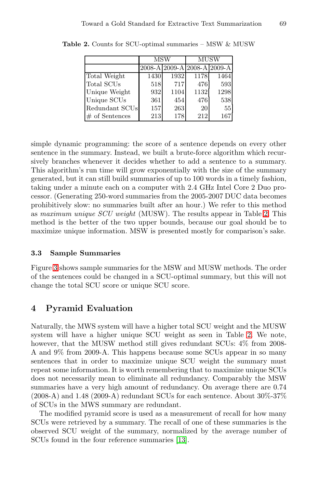|                   | MSW  |                             | <b>MUSW</b> |      |  |
|-------------------|------|-----------------------------|-------------|------|--|
|                   |      | 2008-A 2009-A 2008-A 2009-A |             |      |  |
| Total Weight      | 1430 | 1932                        | 1178        | 1464 |  |
| Total SCUs        | 518  | 717                         | 476         | 593  |  |
| Unique Weight     | 932  | 1104                        | 1132        | 1298 |  |
| Unique SCUs       | 361  | 454                         | 476         | 538  |  |
| Redundant SCUs    | 157  | 263                         | 20          | 55   |  |
| $\#$ of Sentences | 213  | 178                         | 212         | 167  |  |

<span id="page-6-0"></span>**Table 2.** Counts for SCU-optimal summaries – MSW & MUSW

simple dynamic programming: the score of a senten[ce](#page-6-0) depends on every other sentence in the summary. Instead, we built a brute-force algorithm which recursively branches whenever it decides whether to add a sentence to a summary. This algorithm's run time will grow exponentially with the size of the summary generated, but it can still build summaries of up to 100 words in a timely fashion, taking under a minute each on a computer with 2.4 GHz Intel Core 2 Duo processor. (Generating 250-word summaries from the 2005-2007 DUC data becomes prohibitively slow: no summaries built after an hour.) We refer to this method as *maximum unique SCU weight* (MUSW). The results appear in Table 2. This method is the better of the two upper bounds, because our goal should be to maximize unique information. MSW is presented mostly for comparison's sake.

#### <span id="page-6-1"></span>**3.3 Sample Summaries**

Figure 3 shows sample summaries for the MSW [an](#page-6-0)d MUSW methods. The order of the sentences could be changed in a SCU-optimal summary, but this will not change the total SCU score or unique SCU score.

## **4 Pyramid Evaluation**

Naturally, the MWS system will have a higher total SCU weight and the MUSW system will have a higher unique SCU weight as seen in Table 2. We note, however, that the MUSW method still gives redundant SCUs:  $4\%$  from 2008-A and 9% from 2009-A. This happens because some SCUs appear in so many sentences that in order to maximize unique SCU weight the summary must repeat some information. I[t is](#page-11-3) worth remembering that to maximize unique SCUs does not necessarily mean to eliminate all redundancy. Comparably the MSW summaries have a very high amount of redundancy. On average there are 0.74  $(2008-A)$  and 1.48 (2009-A) redundant SCUs for each sentence. About 30%-37% of SCUs in the MWS summary are redundant.

The modified pyramid score is used as a measurement of recall for how many SCUs were retrieved by a summary. The recall of one of these summaries is the observed SCU weight of the summary, normalized by the average number of SCUs found in the four reference summaries [13].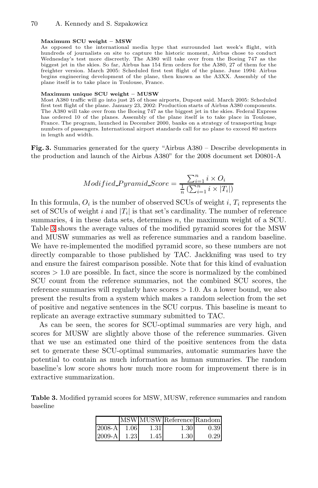As opposed to the international media hype that surrounded last week's flight, with hundreds of journalists on site to capture the historic moment, Airbus chose to conduct Wednesday's test more discreetly. The A380 will take over from the Boeing 747 as the biggest jet in the skies. So far, Airbus has 154 firm orders for the A380, 27 of them for the freighter version. March 2005: Scheduled first test flight of the plane. June 1994: Airbus begins engineering development of the plane, then known as the A3XX. Assembly of the plane itself is to take place in Toulouse, France.

Most A380 traffic will go into just 25 of those airports, Dupont said. March 2005: Scheduled first test flight of the plane. January 23, 2002: Production starts of Airbus A380 components. The A380 will take over from the Boeing 747 as the biggest jet in the skies. Federal Express has ordered 10 of the planes. Assembly of the plane itself is to take place in Toulouse, France. The program, launched in December 2000, banks on a strategy of transporting huge numbers of passengers. International airport standards call for no plane to exceed 80 meters in length and width.

**Fig. 3.** Summaries generated for the query "Airbus A380 – Describe developments in the production and launch of the Airbus A380" for the 2008 document set D0801-A

$$
Modified\_Pyramid\_Score = \frac{\sum_{i=1}^{n} i \times O_i}{\frac{1}{n} \left(\sum_{i=1}^{n} i \times |T_i|\right)}
$$

In this formula,  $O_i$  is the number of observed SCUs of weight i,  $T_i$  represents the set of SCUs of weight i and  $|T_i|$  is that set's cardinality. The number of reference summaries, 4 in these data sets, determines  $n$ , the maximum weight of a SCU. Table 3 shows the average values of the modified pyramid scores for the MSW and MUSW summaries as well as reference summaries and a random baseline. We have re-implemented the modified pyramid score, so these numbers are not directly comparable to those published by TAC. Jackknifing was used to try and ensure the fairest comparison possible. Note that for this kind of evaluation  $\text{scores} > 1.0$  are possible. In fact, since the score is normalized by the combined SCU count from the reference summaries, not the combined SCU scores, the reference summaries will regularly have scores > 1.0. As a lower bound, we also present the results from a system which makes a random selection from the set of positive and negative sentences in the SCU corpus. This baseline is meant to replicate an average extractive summary submitted to TAC.

As can be seen, the scores for SCU-optimal summaries are very high, and scores for MUSW are slightly above those of the reference summaries. Given that we use an estimated one third of the positive sentences from the data set to generate these SCU-optimal summaries, automatic summaries have the potential to contain as much information as human summaries. The random baseline's low score shows how much more room for improvement there is in extractive summarization.

**Table 3.** Modified pyramid scores for MSW, MUSW, reference summaries and random baseline

|            |      |       | MSW MUSW Reference Random |      |
|------------|------|-------|---------------------------|------|
| $2008 - A$ | 1.06 | 1.311 | $1.30\,$                  | 0.39 |
| $2009 - A$ | 1.23 | 1.45  | $1.30\,$                  | 0.29 |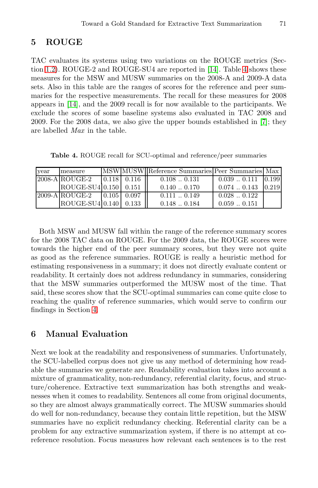## <span id="page-8-0"></span>**5 ROUGE**

TAC evaluates its systems using two variations on the ROUGE metrics (Section 1.2). ROUGE-2 and ROUGE-SU4 are reported in [14]. Table 4 shows these measures for the MSW and MUSW summaries on the 2008-A and 2009-A data sets. Also in this table are the ranges of scores for the reference and peer summaries for the respective measurements. The recall for these measures for 2008 appears in [14], and the 2009 recall is for now available to the participants. We exclude the scores of some baseline systems also evaluated in TAC 2008 and 2009. For the 2008 data, we also give the upper bounds established in [7]; they are labelled *Max* in the table.

**Table 4.** ROUGE recall for SCU-optimal and reference/peer summaries

| year | measure                       |               | MSW MUSW Reference Summaries Peer Summaries Max |                                   |  |
|------|-------------------------------|---------------|-------------------------------------------------|-----------------------------------|--|
|      | $2008-A$ ROUGE-2              | $0.118$ 0.116 | 0.1080.131                                      | $0.039$ $\dots$ $0.111$ $ 0.199 $ |  |
|      | $ROUGE-SU4 0.150 0.151$       |               | 0.1400.170                                      | $0.074$ $\dots$ 0.143 $ 0.219 $   |  |
|      | $ 2009-A ROUGE-2 0.105 0.097$ |               | 0.1110.149                                      | 0.0280.122                        |  |
|      | $ROUGE-SU4 0.140 0.133$       |               | 0.1480.184                                      | 0.0590.151                        |  |

Both MSW and MUSW fall within the range of the reference summary scores [fo](#page-6-1)r the 2008 TAC data on ROUGE. For the 2009 data, the ROUGE scores were towards the higher end of the peer summary scores, but they were not quite as good as the reference summaries. ROUGE is really a heuristic method for estimating responsiveness in a summary; it does not directly evaluate content or readability. It certainly does not address redundancy in summaries, considering that the MSW summaries outperformed the MUSW most of the time. That said, these scores show that the SCU-optimal summaries can come quite close to reaching the quality of reference summaries, which would serve to confirm our findings in Section 4.

## **6 Manual Evaluation**

Next we look at the readability and responsiveness of summaries. Unfortunately, the SCU-labelled corpus does not give us any method of determining how readable the summaries we generate are. Readability evaluation takes into account a mixture of grammaticality, non-redundancy, referential clarity, focus, and structure/coherence. Extractive text summarization has both strengths and weaknesses when it comes to readability. Sentences all come from original documents, so they are almost always grammatically correct. The MUSW summaries should do well for non-redundancy, because they contain little repetition, but the MSW summaries have no explicit redundancy checking. Referential clarity can be a problem for any extractive summarization system, if there is no attempt at coreference resolution. Focus measures how relevant each sentences is to the rest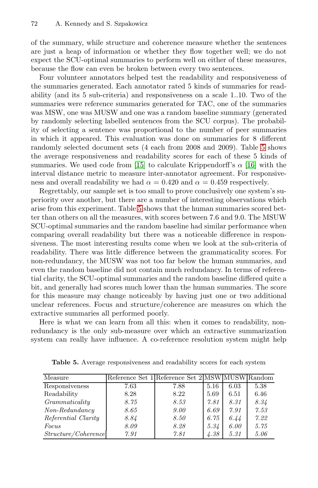of the summary, while structure and coherence measure whether the sentences are just a heap of information or whether they flow together well; we do not expect the SCU-optimal summaries to perform well on either of these measures, because the flow can even be broken between every two sentences.

Four volunteer annotators helped test the reada[bil](#page-9-0)ity and responsiveness of the summaries generated. Each annotator rated 5 kinds of summaries for readability (and i[ts 5](#page-11-4) sub-criteria) and responsiven[ess](#page-11-5) on a scale 1..10. Two of the summaries were reference summaries generated for TAC, one of the summaries was MSW, one was MUSW and one was a random baseline summary (generated by randomly selecting labelled sentences from the SCU corpus). The probability of selecting a sentence was proportional to the number of peer summaries in which it a[pp](#page-9-0)eared. This evaluation was done on summaries for 8 different randomly selected document sets (4 each from 2008 and 2009). Table 5 shows the average responsiveness and readability scores for each of these 5 kinds of summaries. We used code from [15] to calculate Krippendorff's  $\alpha$  [16] with the interval distance metric to measure inter-annotator agreement. For responsiveness and overall readability we had  $\alpha = 0.420$  and  $\alpha = 0.459$  respectively.

Regrettably, our sample set is too small to prove conclusively one system's superiority over another, but there are a number of interesting observations which arise from this experiment. Table 5 shows that the human summaries scored better than others on all the measures, with scores between 7.6 and 9.0. The MSUW SCU-optimal summaries and the random baseline had similar performance when comparing overall readability but there was a noticeable difference in responsiveness. The most interesting results come when we look at the sub-criteria of readability. There was little difference between the grammaticality scores. For non-redundancy, the MUSW was not too far below the human summaries, and even the random baseline did not contain much redundancy. In terms of referential clarity, the SCU-optimal summaries and the random baseline differed quite a bit, and generally had scores much lower than the human summaries. The score for this measure may change noticeably by having just one or two additional unclear references. Focus and structure/coherence are measures on which the extractive summaries all performed poorly.

<span id="page-9-0"></span>Here is what we can learn from all this: when it comes to readability, nonredundancy is the only sub-measure over which an extractive summarization system can really have influence. A co-reference resolution system might help

| Measure             |      | Reference Set 1 Reference Set 2 MSW MUSW Random |      |      |      |
|---------------------|------|-------------------------------------------------|------|------|------|
| Responsiveness      | 7.63 | 7.88                                            | 5.16 | 6.03 | 5.38 |
| Readability         | 8.28 | 8.22                                            | 5.69 | 6.51 | 6.46 |
| Grammaticality      | 8.75 | 8.53                                            | 7.81 | 8.31 | 8.34 |
| $Non-Redundancy$    | 8.65 | 9.00                                            | 6.69 | 7.91 | 7.53 |
| Referential Clarity | 8.84 | 8.50                                            | 6.75 | 6.44 | 7.22 |
| Focus               | 8.09 | 8.28                                            | 5.34 | 6.00 | 5.75 |
| Structure/Coherence | 7.91 | 7.81                                            | 4.38 | 5.31 | 5.06 |

**Table 5.** Average responsiveness and readability scores for each system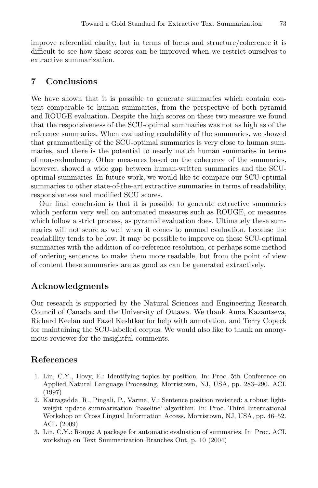improve referential clarity, but in terms of focus and structure/coherence it is difficult to see how these scores can be improved when we restrict ourselves to extractive summarization.

## **7 Conclusions**

We have shown that it is possible to generate summaries which contain content comparable to human summaries, from the perspective of both pyramid and ROUGE evaluation. Despite the high scores on these two measure we found that the responsiveness of the SCU-optimal summaries was not as high as of the reference summaries. When evaluating readability of the summaries, we showed that grammatically of the SCU-optimal summaries is very close to human summaries, and there is the potential to nearly match human summaries in terms of non-redundancy. Other measures based on the coherence of the summaries, however, showed a wide gap between human-written summaries and the SCUoptimal summaries. In future work, we would like to compare our SCU-optimal summaries to other state-of-the-art extractive summaries in terms of readability, responsiveness and modified SCU scores.

Our final conclusion is that it is possible to generate extractive summaries which perform very well on automated measures such as ROUGE, or measures which follow a strict process, as pyramid evaluation does. Ultimately these summaries will not score as well when it comes to manual evaluation, because the readability tends to be low. It may be possible to improve on these SCU-optimal summaries with the addition of co-reference resolution, or perhaps some method of ordering sentences to make them more readable, but from the point of view of content these summaries are as good as can be generated extractively.

## **Acknowledgments**

Our research is supported by the Natural Sciences and Engineering Research Council of Canada and the University of Ottawa. We thank Anna Kazantseva, Richard Keelan and Fazel Keshtkar for help with annotation, and Terry Copeck for maintaining the SCU-labelled corpus. We would also like to thank an anonymous reviewer for the insightful comments.

## <span id="page-10-2"></span>**References**

- <span id="page-10-0"></span>1. Lin, C.Y., Hovy, E.: Identifying topics by position. In: Proc. 5th Conference on Applied Natural Language Processing, Morristown, NJ, USA, pp. 283–290. ACL (1997)
- <span id="page-10-1"></span>2. Katragadda, R., Pingali, P., Varma, V.: Sentence position revisited: a robust lightweight update summarization 'baseline' algorithm. In: Proc. Third International Workshop on Cross Lingual Information Access, Morristown, NJ, USA, pp. 46–52. ACL (2009)
- <span id="page-10-3"></span>3. Lin, C.Y.: Rouge: A package for automatic evaluation of summaries. In: Proc. ACL workshop on Text Summarization Branches Out, p. 10 (2004)